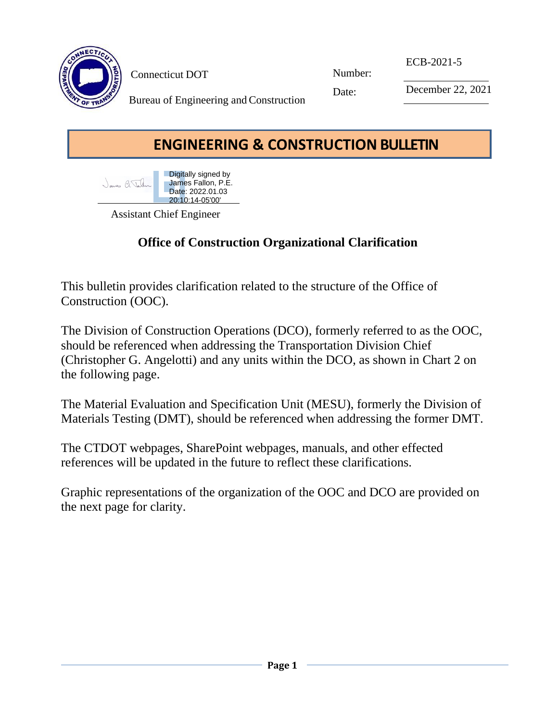

Connecticut DOT

Number:

ECB-2021-5

Date:

December 22, 2021

Bureau of Engineering and Construction

## **ENGINEERING & CONSTRUCTION BULLETIN**



Assistant Chief Engineer

## **Office of Construction Organizational Clarification**

This bulletin provides clarification related to the structure of the Office of Construction (OOC).

The Division of Construction Operations (DCO), formerly referred to as the OOC, should be referenced when addressing the Transportation Division Chief (Christopher G. Angelotti) and any units within the DCO, as shown in Chart 2 on the following page.

The Material Evaluation and Specification Unit (MESU), formerly the Division of Materials Testing (DMT), should be referenced when addressing the former DMT.

The CTDOT webpages, SharePoint webpages, manuals, and other effected references will be updated in the future to reflect these clarifications.

Graphic representations of the organization of the OOC and DCO are provided on the next page for clarity.